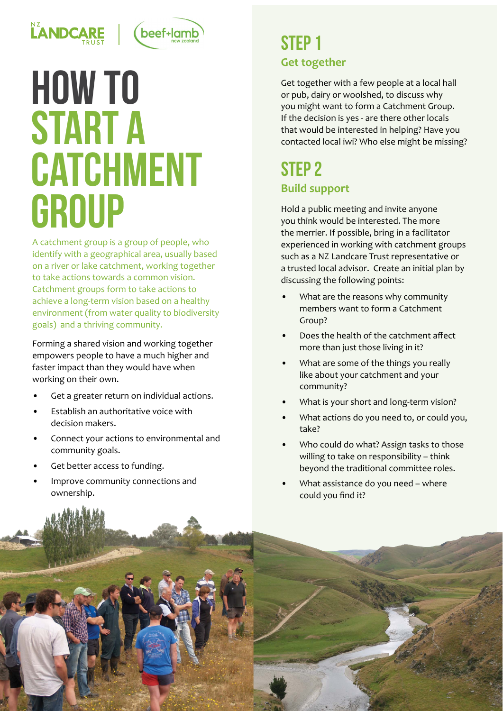

# (beef+lamb

# how to **START A CATCHMENT** GROUP

A catchment group is a group of people, who identify with a geographical area, usually based on a river or lake catchment, working together to take actions towards a common vision. Catchment groups form to take actions to achieve a long-term vision based on a healthy environment (from water quality to biodiversity goals) and a thriving community.

Forming a shared vision and working together empowers people to have a much higher and faster impact than they would have when working on their own.

- Get a greater return on individual actions.
- Establish an authoritative voice with decision makers.
- Connect your actions to environmental and community goals.
- Get better access to funding.
- Improve community connections and ownership.

### STFP<sub>1</sub> **Get together**

Get together with a few people at a local hall or pub, dairy or woolshed, to discuss why you might want to form a Catchment Group. If the decision is yes - are there other locals that would be interested in helping? Have you contacted local iwi? Who else might be missing?

## STEP<sub>2</sub> **Build support**

Hold a public meeting and invite anyone you think would be interested. The more the merrier. If possible, bring in a facilitator experienced in working with catchment groups such as a NZ Landcare Trust representative or a trusted local advisor. Create an initial plan by discussing the following points:

- What are the reasons why community members want to form a Catchment Group?
- Does the health of the catchment affect more than just those living in it?
- What are some of the things you really like about your catchment and your community?
- What is your short and long-term vision?
- What actions do you need to, or could you, take?
- Who could do what? Assign tasks to those willing to take on responsibility – think beyond the traditional committee roles.
- What assistance do you need where could you find it?